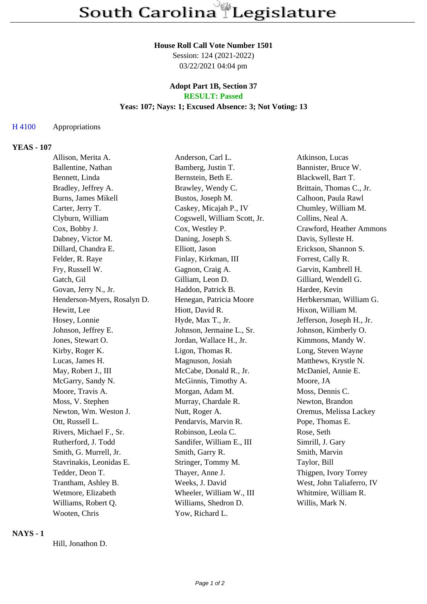# **House Roll Call Vote Number 1501**

Session: 124 (2021-2022) 03/22/2021 04:04 pm

#### **Adopt Part 1B, Section 37 RESULT: Passed**

# **Yeas: 107; Nays: 1; Excused Absence: 3; Not Voting: 13**

#### H 4100 Appropriations

#### **YEAS - 107**

| Allison, Merita A.          | Anderson, Carl L.            | Atkinson, Lucas           |
|-----------------------------|------------------------------|---------------------------|
| Ballentine, Nathan          | Bamberg, Justin T.           | Bannister, Bruce W.       |
| Bennett, Linda              | Bernstein, Beth E.           | Blackwell, Bart T.        |
| Bradley, Jeffrey A.         | Brawley, Wendy C.            | Brittain, Thomas C., Jr.  |
| Burns, James Mikell         | Bustos, Joseph M.            | Calhoon, Paula Rawl       |
| Carter, Jerry T.            | Caskey, Micajah P., IV       | Chumley, William M.       |
| Clyburn, William            | Cogswell, William Scott, Jr. | Collins, Neal A.          |
| Cox, Bobby J.               | Cox, Westley P.              | Crawford, Heather Ammons  |
| Dabney, Victor M.           | Daning, Joseph S.            | Davis, Sylleste H.        |
| Dillard, Chandra E.         | Elliott, Jason               | Erickson, Shannon S.      |
| Felder, R. Raye             | Finlay, Kirkman, III         | Forrest, Cally R.         |
| Fry, Russell W.             | Gagnon, Craig A.             | Garvin, Kambrell H.       |
| Gatch, Gil                  | Gilliam, Leon D.             | Gilliard, Wendell G.      |
| Govan, Jerry N., Jr.        | Haddon, Patrick B.           | Hardee, Kevin             |
| Henderson-Myers, Rosalyn D. | Henegan, Patricia Moore      | Herbkersman, William G.   |
| Hewitt, Lee                 | Hiott, David R.              | Hixon, William M.         |
| Hosey, Lonnie               | Hyde, Max T., Jr.            | Jefferson, Joseph H., Jr. |
| Johnson, Jeffrey E.         | Johnson, Jermaine L., Sr.    | Johnson, Kimberly O.      |
| Jones, Stewart O.           | Jordan, Wallace H., Jr.      | Kimmons, Mandy W.         |
| Kirby, Roger K.             | Ligon, Thomas R.             | Long, Steven Wayne        |
| Lucas, James H.             | Magnuson, Josiah             | Matthews, Krystle N.      |
| May, Robert J., III         | McCabe, Donald R., Jr.       | McDaniel, Annie E.        |
| McGarry, Sandy N.           | McGinnis, Timothy A.         | Moore, JA                 |
| Moore, Travis A.            | Morgan, Adam M.              | Moss, Dennis C.           |
| Moss, V. Stephen            | Murray, Chardale R.          | Newton, Brandon           |
| Newton, Wm. Weston J.       | Nutt, Roger A.               | Oremus, Melissa Lackey    |
| Ott, Russell L.             | Pendarvis, Marvin R.         | Pope, Thomas E.           |
| Rivers, Michael F., Sr.     | Robinson, Leola C.           | Rose, Seth                |
| Rutherford, J. Todd         | Sandifer, William E., III    | Simrill, J. Gary          |
| Smith, G. Murrell, Jr.      | Smith, Garry R.              | Smith, Marvin             |
| Stavrinakis, Leonidas E.    | Stringer, Tommy M.           | Taylor, Bill              |
| Tedder, Deon T.             | Thayer, Anne J.              | Thigpen, Ivory Torrey     |
| Trantham, Ashley B.         | Weeks, J. David              | West, John Taliaferro, IV |
| Wetmore, Elizabeth          | Wheeler, William W., III     | Whitmire, William R.      |
| Williams, Robert Q.         | Williams, Shedron D.         | Willis, Mark N.           |
| Wooten, Chris               | Yow, Richard L.              |                           |

# **NAYS - 1**

Hill, Jonathon D.